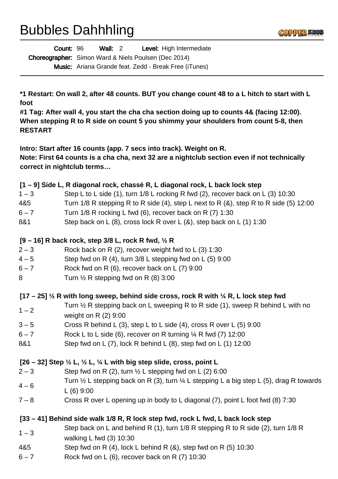# Bubbles Dahhhling

| Count: 96                                                   | Wall: $2$ |  | <b>Level:</b> High Intermediate                              |
|-------------------------------------------------------------|-----------|--|--------------------------------------------------------------|
| <b>Choreographer:</b> Simon Ward & Niels Poulsen (Dec 2014) |           |  |                                                              |
|                                                             |           |  | <b>Music:</b> Ariana Grande feat. Zedd - Break Free (iTunes) |

**\*1 Restart: On wall 2, after 48 counts. BUT you change count 48 to a L hitch to start with L foot** 

**#1 Tag: After wall 4, you start the cha cha section doing up to counts 4& (facing 12:00). When stepping R to R side on count 5 you shimmy your shoulders from count 5-8, then RESTART**

**Intro: Start after 16 counts (app. 7 secs into track). Weight on R. Note: First 64 counts is a cha cha, next 32 are a nightclub section even if not technically correct in nightclub terms…**

### **[1 – 9] Side L, R diagonal rock, chassé R, L diagonal rock, L back lock step**

| $1 - 3$ | Step L to L side (1), turn 1/8 L rocking R fwd (2), recover back on L (3) 10:30 |
|---------|---------------------------------------------------------------------------------|
|---------|---------------------------------------------------------------------------------|

- 4&5 Turn 1/8 R stepping R to R side (4), step L next to R (&), step R to R side (5) 12:00
- $6 7$  Turn 1/8 R rocking L fwd (6), recover back on R (7) 1:30
- 8&1 Step back on L (8), cross lock R over L (&), step back on L (1) 1:30

## **[9 – 16] R back rock, step 3/8 L, rock R fwd, ½ R**

- $2-3$  Rock back on R (2), recover weight fwd to L (3) 1:30
- $4-5$  Step fwd on R (4), turn  $3/8$  L stepping fwd on L (5) 9:00
- $6 7$  Rock fwd on R  $(6)$ , recover back on L  $(7)$  9:00
- 8 Turn 1/2 R stepping fwd on R (8) 3:00

## **[17 – 25] ½ R with long sweep, behind side cross, rock R with ¼ R, L lock step fwd**

- $1 2$ Turn  $\frac{1}{2}$  R stepping back on L sweeping R to R side (1), sweep R behind L with no
- weight on R (2) 9:00
- $3 5$  Cross R behind L (3), step L to L side (4), cross R over L (5) 9:00
- $6 7$  Rock L to L side (6), recover on R turning  $\frac{1}{4}$  R fwd (7) 12:00
- 8&1 Step fwd on L (7), lock R behind L (8), step fwd on L (1) 12:00

## **[26 – 32] Step ½ L, ½ L, ¼ L with big step slide, cross, point L**

- $2-3$  Step fwd on R (2), turn  $\frac{1}{2}$  L stepping fwd on L (2) 6:00
- $4 6$ Turn  $\frac{1}{2}$  L stepping back on R (3), turn  $\frac{1}{4}$  L stepping L a big step L (5), drag R towards L (6) 9:00
- 7 8 Cross R over L opening up in body to L diagonal (7), point L foot fwd (8) 7:30

## **[33 – 41] Behind side walk 1/8 R, R lock step fwd, rock L fwd, L back lock step**

- $1 3$ Step back on L and behind R (1), turn 1/8 R stepping R to R side (2), turn 1/8 R
- walking L fwd (3) 10:30
- 4&5 Step fwd on R (4), lock L behind R (&), step fwd on R (5) 10:30
- 6 7 Rock fwd on L (6), recover back on R (7) 10:30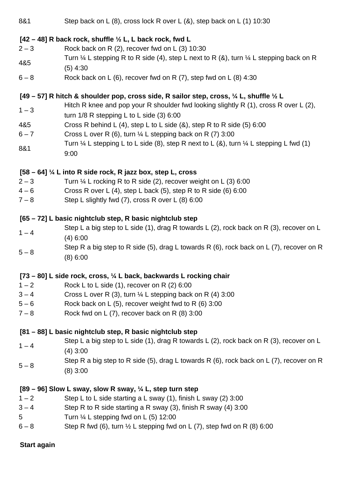| 8&1                                                                                                          | Step back on L (8), cross lock R over L (&), step back on L (1) 10:30                                                              |  |  |  |
|--------------------------------------------------------------------------------------------------------------|------------------------------------------------------------------------------------------------------------------------------------|--|--|--|
|                                                                                                              | $[42 - 48]$ R back rock, shuffle $\frac{1}{2}$ L, L back rock, fwd L                                                               |  |  |  |
| $2 - 3$                                                                                                      | Rock back on R (2), recover fwd on L (3) 10:30                                                                                     |  |  |  |
| 4&5                                                                                                          | Turn $\frac{1}{4}$ L stepping R to R side (4), step L next to R (&), turn $\frac{1}{4}$ L stepping back on R<br>$(5)$ 4:30         |  |  |  |
| $6 - 8$                                                                                                      | Rock back on L (6), recover fwd on R $(7)$ , step fwd on L $(8)$ 4:30                                                              |  |  |  |
| [49 – 57] R hitch & shoulder pop, cross side, R sailor step, cross, $\frac{1}{4}$ L, shuffle $\frac{1}{2}$ L |                                                                                                                                    |  |  |  |
| $1 - 3$                                                                                                      | Hitch R knee and pop your R shoulder fwd looking slightly R (1), cross R over L (2),<br>turn $1/8$ R stepping L to L side (3) 6:00 |  |  |  |
| 4&5                                                                                                          | Cross R behind L (4), step L to L side $(8)$ , step R to R side $(5)$ 6:00                                                         |  |  |  |
| $6 - 7$                                                                                                      | Cross L over R (6), turn $\frac{1}{4}$ L stepping back on R (7) 3:00                                                               |  |  |  |
| 8&1                                                                                                          | Turn $\frac{1}{4}$ L stepping L to L side (8), step R next to L (8), turn $\frac{1}{4}$ L stepping L fwd (1)<br>9:00               |  |  |  |
|                                                                                                              | $[58 - 64]$ % L into R side rock, R jazz box, step L, cross                                                                        |  |  |  |
| $2 - 3$                                                                                                      | Turn $\frac{1}{4}$ L rocking R to R side (2), recover weight on L (3) 6:00                                                         |  |  |  |
| $4 - 6$                                                                                                      | Cross R over L (4), step L back (5), step R to R side (6) 6:00                                                                     |  |  |  |
| $7 - 8$                                                                                                      | Step L slightly fwd (7), cross R over L (8) 6:00                                                                                   |  |  |  |
| [65 – 72] L basic nightclub step, R basic nightclub step                                                     |                                                                                                                                    |  |  |  |
| $1 - 4$                                                                                                      | Step L a big step to L side (1), drag R towards L (2), rock back on R (3), recover on L                                            |  |  |  |
|                                                                                                              | (4) 6:00                                                                                                                           |  |  |  |
| $5 - 8$                                                                                                      | Step R a big step to R side (5), drag L towards R (6), rock back on L (7), recover on R                                            |  |  |  |
|                                                                                                              | (8) 6:00                                                                                                                           |  |  |  |
|                                                                                                              | [73 – 80] L side rock, cross, 1/4 L back, backwards L rocking chair                                                                |  |  |  |
| $1 - 2$                                                                                                      | Rock L to L side (1), recover on R (2) 6:00                                                                                        |  |  |  |
| $3 - 4$                                                                                                      | Cross L over R (3), turn $\frac{1}{4}$ L stepping back on R (4) 3:00                                                               |  |  |  |
| $5 - 6$                                                                                                      | Rock back on L (5), recover weight fwd to R (6) 3:00                                                                               |  |  |  |
| $7 - 8$                                                                                                      | Rock fwd on L (7), recover back on R (8) 3:00                                                                                      |  |  |  |
|                                                                                                              | [81 – 88] L basic nightclub step, R basic nightclub step                                                                           |  |  |  |
| $1 - 4$                                                                                                      | Step L a big step to L side (1), drag R towards L (2), rock back on R (3), recover on L                                            |  |  |  |
|                                                                                                              | $(4)$ 3:00                                                                                                                         |  |  |  |
| $5 - 8$                                                                                                      | Step R a big step to R side (5), drag L towards R (6), rock back on L (7), recover on R                                            |  |  |  |
|                                                                                                              | $(8)$ 3:00                                                                                                                         |  |  |  |
|                                                                                                              | [89 – 96] Slow L sway, slow R sway, $\frac{1}{4}$ L, step turn step                                                                |  |  |  |
| $1 - 2$                                                                                                      | Step L to L side starting a L sway (1), finish L sway (2) 3:00                                                                     |  |  |  |
| $3 - 4$                                                                                                      | Step R to R side starting a R sway (3), finish R sway (4) 3:00                                                                     |  |  |  |
| $5\overline{)}$                                                                                              | Turn $\frac{1}{4}$ L stepping fwd on L (5) 12:00                                                                                   |  |  |  |
| $6 - 8$                                                                                                      | Step R fwd (6), turn $\frac{1}{2}$ L stepping fwd on L (7), step fwd on R (8) 6:00                                                 |  |  |  |
| <b>Start again</b>                                                                                           |                                                                                                                                    |  |  |  |